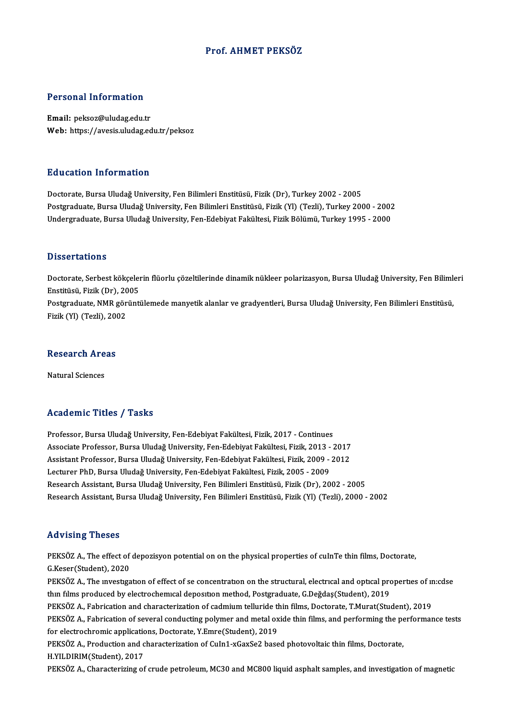### Prof. AHMET PEKSÖZ

### Personal Information

Email: peksoz@uludag.edu.tr Web: https://avesis.uludag.edu.tr/peksoz

### Education Information

Doctorate, Bursa Uludağ University, Fen Bilimleri Enstitüsü, Fizik (Dr), Turkey 2002 - 2005 Postgraduate, Bursa Uludağ University, Fen Bilimleri Enstitüsü, Fizik (Yl) (Tezli), Turkey 2000 - 2002 Undergraduate, Bursa Uludağ University, Fen-Edebiyat Fakültesi, Fizik Bölümü, Turkey 1995 - 2000

#### **Dissertations**

Dissertations<br>Doctorate, Serbest kökçelerin flüorlu çözeltilerinde dinamik nükleer polarizasyon, Bursa Uludağ University, Fen Bilimleri<br>Fratitüsü, Firik (Dr), 2005 Enstitüsü, Serbest kökçeler<br>Enstitüsü, Fizik (Dr), 2005<br>Pestavaduate NMP görünti Doctorate, Serbest kökçelerin flüorlu çözeltilerinde dinamik nükleer polarizasyon, Bursa Uludağ University, Fen Bilimle<br>Enstitüsü, Fizik (Dr), 2005<br>Postgraduate, NMR görüntülemede manyetik alanlar ve gradyentleri, Bursa Ul Enstitüsü, Fizik (Dr), 20<br>Postgraduate, NMR gör<br>Fizik (Yl) (Tezli), 2002

## 1921 (1921), 2013<br>Research Areas <mark>Research Are</mark><br>Natural Sciences

# Natural Sciences<br>Academic Titles / Tasks

Academic Titles / Tasks<br>Professor, Bursa Uludağ University, Fen-Edebiyat Fakültesi, Fizik, 2017 - Continues<br>Assesiste Professor, Burse Uludağ University, Fen Edebiyat Fakültesi, Fizik, 2012 Associate Articus 7 - 1 duktu<br>Professor, Bursa Uludağ University, Fen-Edebiyat Fakültesi, Fizik, 2017 - Continues<br>Associate Professor, Bursa Uludağ University, Fen-Edebiyat Fakültesi, Fizik, 2013 - 2017<br>Assistant Brofessor Professor, Bursa Uludağ University, Fen-Edebiyat Fakültesi, Fizik, 2017 - Continues<br>Associate Professor, Bursa Uludağ University, Fen-Edebiyat Fakültesi, Fizik, 2013 - 2017<br>Assistant Professor, Bursa Uludağ University, Fen Associate Professor, Bursa Uludağ University, Fen-Edebiyat Fakültesi, Fizik, 2013 - 2017<br>Assistant Professor, Bursa Uludağ University, Fen-Edebiyat Fakültesi, Fizik, 2009 - 2012<br>Lecturer PhD, Bursa Uludağ University, Fen-E Assistant Professor, Bursa Uludağ University, Fen-Edebiyat Fakültesi, Fizik, 2009 - 2012<br>Lecturer PhD, Bursa Uludağ University, Fen-Edebiyat Fakültesi, Fizik, 2005 - 2009<br>Research Assistant, Bursa Uludağ University, Fen Bi Lecturer PhD, Bursa Uludağ University, Fen-Edebiyat Fakültesi, Fizik, 2005 - 2009<br>Research Assistant, Bursa Uludağ University, Fen Bilimleri Enstitüsü, Fizik (Dr), 2002 - 2005<br>Research Assistant, Bursa Uludağ University, F Research Assistant, Bursa Uludağ University, Fen Bilimleri Enstitüsü, Fizik (Yl) (Tezli), 2000 - 2002<br>Advising Theses

Advising Theses<br>PEKSÖZ A., The effect of depozisyon potential on on the physical properties of cuInTe thin films, Doctorate,<br>S.Keser(Student), 2020 FREY TONG THUBUS<br>PEKSÖZ A., The effect of<br>G.Keser(Student), 2020<br>PEKSÖZ A. The investiga PEKSÖZ A., The effect of depozisyon potential on on the physical properties of cuInTe thin films, Doctorate,<br>G.Keser(Student), 2020<br>PEKSÖZ A., The investigation of effect of se concentration on the structural, electrical a G.Keser(Student), 2020<br>PEKSÖZ A., The investigation of effect of se concentration on the structural, electrical and optical properties of in:cdse<br>thin films produced by electrochemical deposition method, Postgraduate, G.De PEKSÖZ A., The investigation of effect of se concentration on the structural, electrical and optical properties of in<br>thin films produced by electrochemical deposition method, Postgraduate, G.Değdaş(Student), 2019<br>PEKSÖZ A thin films produced by electrochemical deposition method, Postgraduate, G.Değdaş(Student), 2019<br>PEKSÖZ A., Fabrication and characterization of cadmium telluride thin films, Doctorate, T.Murat(Student), 2019<br>PEKSÖZ A., Fabr PEKSÖZ A., Fabrication and characterization of cadmium telluride the<br>FEKSÖZ A., Fabrication of several conducting polymer and metal ox<br>for electrochromic applications, Doctorate, Y.Emre(Student), 2019<br>PEKSÖZ A., Production PEKSÖZ A., Fabrication of several conducting polymer and metal oxide thin films, and performing the performance tests<br>for electrochromic applications, Doctorate, Y.Emre(Student), 2019<br>PEKSÖZ A., Production and characteriza for electrochromic applications, Doctorate, Y.Emre(Student), 2019 PEKSÖZ A., Characterizing of crude petroleum, MC30 and MC800 liquid asphalt samples, and investigation of magnetic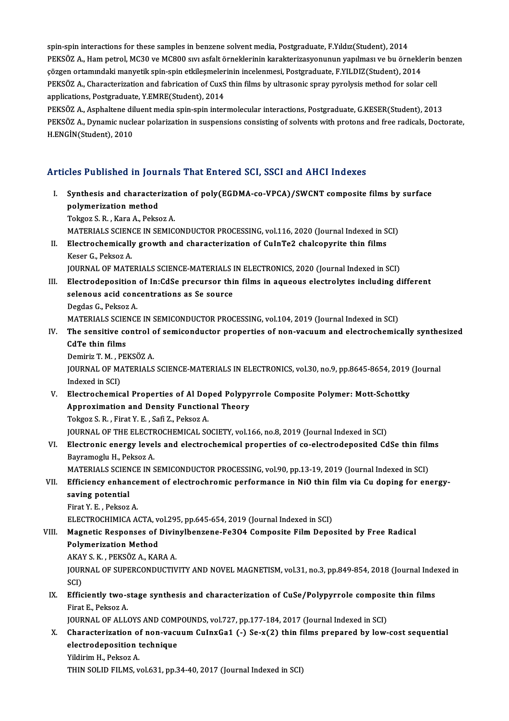spin-spin interactions for these samples in benzene solvent media, Postgraduate, F.Yıldız(Student), 2014 spin-spin interactions for these samples in benzene solvent media, Postgraduate, F.Yıldız(Student), 2014<br>PEKSÖZ A., Ham petrol, MC30 ve MC800 sıvı asfalt örneklerinin karakterizasyonunun yapılması ve bu örneklerin benzen<br>S spin-spin interactions for these samples in benzene solvent media, Postgraduate, F.Yıldız(Student), 2014<br>PEKSÖZ A., Ham petrol, MC30 ve MC800 sıvı asfalt örneklerinin karakterizasyonunun yapılması ve bu örnekle<br>çözgen orta PEKSÖZ A., Ham petrol, MC30 ve MC800 sıvı asfalt örneklerinin karakterizasyonunun yapılması ve bu örneklerin<br>çözgen ortamındaki manyetik spin-spin etkileşmelerinin incelenmesi, Postgraduate, F.YILDIZ(Student), 2014<br>PEKSÖZ çözgen ortamındaki manyetik spin-spin etkileşmelerinin incelenmesi, Postgraduate, F.YILDIZ(Student), 2014<br>PEKSÖZ A., Characterization and fabrication of CuxS thin films by ultrasonic spray pyrolysis method for solar cell<br>a

PEKSÖZ A., Asphaltene diluent media spin-spin intermolecular interactions, Postgraduate, G.KESER(Student), 2013 applications, Postgraduate, Y.EMRE(Student), 2014<br>PEKSÖZ A., Asphaltene diluent media spin-spin intermolecular interactions, Postgraduate, G.KESER(Student), 2013<br>PEKSÖZ A., Dynamic nuclear polarization in suspensions consi PEKSÖZ A., Asphaltene dil<br>PEKSÖZ A., Dynamic nuck<br>H.ENGİN(Student), 2010

# Articles Published in Journals That Entered SCI, SSCI and AHCI Indexes

rticles Published in Journals That Entered SCI, SSCI and AHCI Indexes<br>I. Synthesis and characterization of poly(EGDMA-co-VPCA)/SWCNT composite films by surface<br>nolumerization method sport distinction<br>Synthesis and character<br>polymerization method<br>Teliger S. B., Kara A. Belge Synthesis and characterizat:<br>polymerization method<br>Tokgoz S. R. , Kara A., Peksoz A.<br>MATEPIALS SCIENCE IN SEMIC polymerization method<br>Tokgoz S. R. , Kara A., Peksoz A.<br>MATERIALS SCIENCE IN SEMICONDUCTOR PROCESSING, vol.116, 2020 (Journal Indexed in SCI)<br>Electrochemically, growth and characterization of CulpTe2, chalconyrite thin fil Tokgoz S. R. , Kara A., Peksoz A.<br>MATERIALS SCIENCE IN SEMICONDUCTOR PROCESSING, vol.116, 2020 (Journal Indexed in S<br>II. Electrochemically growth and characterization of CuInTe2 chalcopyrite thin films<br>Keser G. Pekson A. MATERIALS SCIEN<br>Electrochemically<br>Keser G., Peksoz A.<br>JOUPNAL OF MATE II. Electrochemically growth and characterization of CuInTe2 chalcopyrite thin films<br>Keser G., Peksoz A.<br>JOURNAL OF MATERIALS SCIENCE-MATERIALS IN ELECTRONICS, 2020 (Journal Indexed in SCI) Keser G., Peksoz A.<br>JOURNAL OF MATERIALS SCIENCE-MATERIALS IN ELECTRONICS, 2020 (Journal Indexed in SCI)<br>III. Electrodeposition of In:CdSe precursor thin films in aqueous electrolytes including different<br>selectrodeposition JOURNAL OF MATERIALS SCIENCE-MATERIALS I<br>Electrodeposition of In:CdSe precursor thi<br>selenous acid concentrations as Se source<br>Pegdas C. Bekser A Electrodeposition<br>selenous acid cone<br>Degdas G., Peksoz A.<br>MATEPIAI S SCIENCI selenous acid concentrations as Se source<br>Degdas G., Peksoz A.<br>MATERIALS SCIENCE IN SEMICONDUCTOR PROCESSING, vol.104, 2019 (Journal Indexed in SCI) Degdas G., Peksoz A.<br>MATERIALS SCIENCE IN SEMICONDUCTOR PROCESSING, vol.104, 2019 (Journal Indexed in SCI)<br>IV. The sensitive control of semiconductor properties of non-vacuum and electrochemically synthesized<br>CdTe thin fil MATERIALS SCIEN<br>The sensitive contract the sensitive of the sensitive of the media<br>Deminis T. M. DER The sensitive control c<br>CdTe thin films<br>Demiriz T. M. , PEKSÖZ A.<br>JOUPMAL OF MATEPIALS CdTe thin films<br>Demiriz T. M. , PEKSÖZ A.<br>JOURNAL OF MATERIALS SCIENCE-MATERIALS IN ELECTRONICS, vol.30, no.9, pp.8645-8654, 2019 (Journal Demiriz T. M. , P<br>JOURNAL OF MA<br>Indexed in SCI)<br>Electrochemic JOURNAL OF MATERIALS SCIENCE-MATERIALS IN ELECTRONICS, vol.30, no.9, pp.8645-8654, 2019<br>Indexed in SCI)<br>V. Electrochemical Properties of Al Doped Polypyrrole Composite Polymer: Mott-Schottky<br>Annovimation and Dopsity Eunsti Indexed in SCI)<br>Electrochemical Properties of Al Doped Polypy<br>Approximation and Density Functional Theory<br>Tektor S. B., Finst V. E., Sefi 7, Pektor A Electrochemical Properties of Al Do<sub>l</sub><br>Approximation and Density Functior<br>Tokgoz S. R. , Firat Y. E. , Safi Z., Peksoz A.<br>JOUDMAL OF THE ELECTROCHEMICAL SC Approximation and Density Functional Theory<br>Tokgoz S. R. , Firat Y. E. , Safi Z., Peksoz A.<br>JOURNAL OF THE ELECTROCHEMICAL SOCIETY, vol.166, no.8, 2019 (Journal Indexed in SCI)<br>Flectronic energy levels and electrochemical Tokgoz S. R. , Firat Y. E. , Safi Z., Peksoz A.<br>JOURNAL OF THE ELECTROCHEMICAL SOCIETY, vol.166, no.8, 2019 (Journal Indexed in SCI)<br>VI. Electronic energy levels and electrochemical properties of co-electrodeposited CdSe t **JOURNAL OF THE ELECTF<br>Electronic energy leve<br>Bayramoglu H., Peksoz A.<br>MATERIAL S SCIENCE IN S** Electronic energy levels and electrochemical properties of co-electrodeposited CdSe thin film<br>Bayramoglu H., Peksoz A.<br>MATERIALS SCIENCE IN SEMICONDUCTOR PROCESSING, vol.90, pp.13-19, 2019 (Journal Indexed in SCI)<br>Efficien Bayramoglu H., Peksoz A.<br>MATERIALS SCIENCE IN SEMICONDUCTOR PROCESSING, vol.90, pp.13-19, 2019 (Journal Indexed in SCI)<br>VII. Efficiency enhancement of electrochromic performance in NiO thin film via Cu doping for energ MATERIALS SCIEN<br>Efficiency enhan<br>saving potential<br>Einst Y. E. Pelser Efficiency enhance<br>saving potential<br>Firat Y. E. , Peksoz A.<br>ELECTROCHIMICA A s<mark>aving potential</mark><br>Firat Y. E. , Peksoz A.<br>ELECTROCHIMICA ACTA, vol.295, pp.645-654, 2019 (Journal Indexed in SCI)<br>Magnetis Besnonses of Divinylbengene E2304 Composite Film Dene Firat Y. E. , Peksoz A.<br>ELECTROCHIMICA ACTA, vol.295, pp.645-654, 2019 (Journal Indexed in SCI)<br>VIII. Magnetic Responses of Divinylbenzene-Fe3O4 Composite Film Deposited by Free Radical<br>Polymonization Method ELECTROCHIMICA ACTA, v<br>Magnetic Responses of<br>Polymerization Method<br>AKAVS K - PEKSÖZ A KAL Magnetic Responses of Divir<br>Polymerization Method<br>AKAY S. K. , PEKSÖZ A., KARA A.<br>JOUPNAL OF SUPERCONDUCTIV Polymerization Method<br>AKAY S. K. , PEKSÖZ A., KARA A.<br>JOURNAL OF SUPERCONDUCTIVITY AND NOVEL MAGNETISM, vol.31, no.3, pp.849-854, 2018 (Journal Indexed in<br>SCI) AKAY S. K., PEKSÖZ A., KARA A. JOURNAL OF SUPERCONDUCTIVITY AND NOVEL MAGNETISM, vol.31, no.3, pp.849-854, 2018 (Journal Inde<br>SCI)<br>IX. Efficiently two-stage synthesis and characterization of CuSe/Polypyrrole composite thin films<br>Finat E. Pekson A SCI)<br><mark>Efficiently two-s</mark><br>Firat E., Peksoz A.<br>JOUPNAL OF ALLA Efficiently two-stage synthesis and characterization of CuSe/Polypyrrole composi-<br>Firat E., Peksoz A.<br>JOURNAL OF ALLOYS AND COMPOUNDS, vol.727, pp.177-184, 2017 (Journal Indexed in SCI)<br>Characterization of non-youwer Culny Firat E., Peksoz A.<br>JOURNAL OF ALLOYS AND COMPOUNDS, vol.727, pp.177-184, 2017 (Journal Indexed in SCI)<br>X. Characterization of non-vacuum CuInxGa1 (-) Se-x(2) thin films prepared by low-cost sequential<br>electrodoposition to JOURNAL OF ALLOYS AND COMPOUNDS, vol.727, pp.177-184, 2017 (Journal Indexed in SCI)<br>Characterization of non-vacuum CuInxGa1 (-) Se-x(2) thin films prepared by low-<br>electrodeposition technique<br>Yildirim H., Peksoz A. Characterization of<br>electrodeposition<br>Yildirim H., Peksoz A.<br>THIN SOLID EU MS THIN SOLID FILMS, vol.631, pp.34-40, 2017 (Journal Indexed in SCI)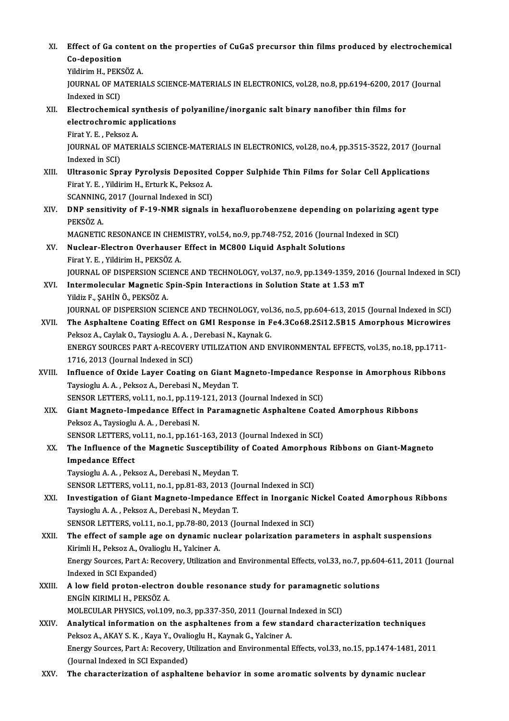XI. Effect of Ga content on the properties of CuGaS precursor thin films produced by electrochemical Effect of Ga co<br>Co-deposition<br><sup>Vildinim H DEVS</sup> Effect of Ga content<br>Co-deposition<br>Yildirim H., PEKSÖZ A.<br>JOUPNAL OF MATERLA Co-deposition<br>Yildirim H., PEKSÖZ A.<br>JOURNAL OF MATERIALS SCIENCE-MATERIALS IN ELECTRONICS, vol.28, no.8, pp.6194-6200, 2017 (Journal<br>Indexed in SCI) Yildirim H., PEKSÖZ A. JOURNAL OF MATERIALS SCIENCE-MATERIALS IN ELECTRONICS, vol.28, no.8, pp.6194-6200, 2017<br>Indexed in SCI)<br>XII. Electrochemical synthesis of polyaniline/inorganic salt binary nanofiber thin films for<br>electrochemic annisotions Indexed in SCI)<br>Electrochemical synthesis of<br>electrochromic applications<br>Firet Y. E., Pelses A electrochromic applications<br>Firat Y. E., Peksoz A. electrochromic applications<br>Firat Y. E. , Peksoz A.<br>JOURNAL OF MATERIALS SCIENCE-MATERIALS IN ELECTRONICS, vol.28, no.4, pp.3515-3522, 2017 (Journal<br>Indoved in SCD. Firat Y. E. , Peks<br>JOURNAL OF MA<br>Indexed in SCI)<br>Illtresonis Snr JOURNAL OF MATERIALS SCIENCE-MATERIALS IN ELECTRONICS, vol.28, no.4, pp.3515-3522, 2017 (Journal)<br>Indexed in SCI)<br>XIII. Ultrasonic Spray Pyrolysis Deposited Copper Sulphide Thin Films for Solar Cell Applications<br>Einst V. E Indexed in SCI)<br>Ultrasonic Spray Pyrolysis Deposited<br>Firat Y. E. , Yildirim H., Erturk K., Peksoz A.<br>SCANNING 2017 (Journal Indoved in SCD Ultrasonic Spray Pyrolysis Deposited<br>Firat Y. E. , Yildirim H., Erturk K., Peksoz A.<br>SCANNING, 2017 (Journal Indexed in SCI)<br>DNR sepoitivity of E.19, NMR signals i Firat Y. E. , Yildirim H., Erturk K., Peksoz A.<br>SCANNING, 2017 (Journal Indexed in SCI)<br>XIV. DNP sensitivity of F-19-NMR signals in hexafluorobenzene depending on polarizing agent type<br>prysöz A SCANNING<br>DNP sens<br>PEKSÖZ A.<br>MAGNETIC DNP sensitivity of F-19-NMR signals in hexafluorobenzene depending on polarizing a<br>PEKSÖZ A.<br>MAGNETIC RESONANCE IN CHEMISTRY, vol.54, no.9, pp.748-752, 2016 (Journal Indexed in SCI)<br>Nuclear Flastron Quarbousen Effect in MC PEKSÖZ A.<br>MAGNETIC RESONANCE IN CHEMISTRY, vol.54, no.9, pp.748-752, 2016 (Journal<br>XV. Nuclear-Electron Overhauser Effect in MC800 Liquid Asphalt Solutions<br>Firat Y. E. . Yildirim H.. PEKSÖZ A. MAGNETIC RESONANCE IN CHEMISTRY, vol.54, no.9, pp.748-752, 2016 (Journal Indexed in SCI) Nuclear-Electron Overhauser Effect in MC800 Liquid Asphalt Solutions<br>Firat Y. E. , Yildirim H., PEKSÖZ A.<br>JOURNAL OF DISPERSION SCIENCE AND TECHNOLOGY, vol.37, no.9, pp.1349-1359, 2016 (Journal Indexed in SCI)<br>Intermelecul XVI. Intermolecular Magnetic Spin-Spin Interactions in Solution State at 1.53mT JOURNAL OF DISPERSION SCI<br>Intermolecular Magnetic S<br>Yildiz F., ŞAHİN Ö., PEKSÖZ A.<br>IOUPNAL OF DISPERSION SCI JOURNAL OF DISPERSION SCIENCE AND TECHNOLOGY, vol.36, no.5, pp.604-613, 2015 (Journal Indexed in SCI) Yildiz F., ŞAHİN Ö., PEKSÖZ A.<br>JOURNAL OF DISPERSION SCIENCE AND TECHNOLOGY, vol.36, no.5, pp.604-613, 2015 (Journal Indexed in SCI)<br>XVII. The Asphaltene Coating Effect on GMI Response in Fe4.3Co68.2Si12.5B15 Amorphous Mic JOURNAL OF DISPERSION SCIENCE AND TECHNOLOGY, vol.<br>The Asphaltene Coating Effect on GMI Response in F<br>Peksoz A., Caylak O., Taysioglu A. A. , Derebasi N., Kaynak G.<br>ENEPCY SOURCES BART A RECOVERY UTH 17 ATION AND E The Asphaltene Coating Effect on GMI Response in Fe4.3Co68.2Si12.5B15 Amorphous Microwire:<br>Peksoz A., Caylak O., Taysioglu A. A. , Derebasi N., Kaynak G.<br>ENERGY SOURCES PART A-RECOVERY UTILIZATION AND ENVIRONMENTAL EFFECTS Peksoz A., Caylak O., Taysioglu A. A. , Derebasi N., Kaynak G.<br>ENERGY SOURCES PART A-RECOVERY UTILIZATION AND ENVIRONMENTAL EFFECTS, vol.35, no.18, pp.1711-<br>1716, 2013 (Journal Indexed in SCI) ENERGY SOURCES PART A-RECOVERY UTILIZATION AND ENVIRONMENTAL EFFECTS, vol.35, no.18, pp.1711-<br>1716, 2013 (Journal Indexed in SCI)<br>XVIII. Influence of Oxide Layer Coating on Giant Magneto-Impedance Response in Amorphous Rib 1716, 2013 (Journal Indexed in SCI)<br>Influence of Oxide Layer Coating on Giant M<br>Taysioglu A.A., Peksoz A., Derebasi N., Meydan T. Influence of Oxide Layer Coating on Giant Magneto-Impedance Re<br>Taysioglu A. A. , Peksoz A., Derebasi N., Meydan T.<br>SENSOR LETTERS, vol.11, no.1, pp.119-121, 2013 (Journal Indexed in SCI)<br>Ciant Magnete Impedance Effect in P Taysioglu A. A. , Peksoz A., Derebasi N., Meydan T.<br>SENSOR LETTERS, vol.11, no.1, pp.119-121, 2013 (Journal Indexed in SCI)<br>XIX. Giant Magneto-Impedance Effect in Paramagnetic Asphaltene Coated Amorphous Ribbons<br>Peksoz A., SENSOR LETTERS, vol.11, no.1, pp.119<br>Giant Magneto-Impedance Effect in<br>Peksoz A., Taysioglu A. A. , Derebasi N.<br>SENSOP LETTERS, vol.11, po.1, pp.161 Giant Magneto-Impedance Effect in Paramagnetic Asphaltene Coat<br>Peksoz A., Taysioglu A. A. , Derebasi N.<br>SENSOR LETTERS, vol.11, no.1, pp.161-163, 2013 (Journal Indexed in SCI)<br>The Influence of the Magnetic Sussentibility o Peksoz A., Taysioglu A. A. , Derebasi N.<br>SENSOR LETTERS, vol.11, no.1, pp.161-163, 2013 (Journal Indexed in SCI)<br>XX. The Influence of the Magnetic Susceptibility of Coated Amorphous Ribbons on Giant-Magneto<br>Impedance Effec SENSOR LETTERS, v<br>The Influence of t<br>Impedance Effect<br>Tavriaght A A Poli The Influence of the Magnetic Susceptibility<br>Impedance Effect<br>Taysioglu A. A. , Peksoz A., Derebasi N., Meydan T.<br>SENSOP LETTEDS vol.11, no.1, np.91, 92, 2012 (Jo Impedance Effect<br>Taysioglu A. A. , Peksoz A., Derebasi N., Meydan T.<br>SENSOR LETTERS, vol.11, no.1, pp.81-83, 2013 (Journal Indexed in SCI) Taysioglu A. A. , Peksoz A., Derebasi N., Meydan T.<br>SENSOR LETTERS, vol.11, no.1, pp.81-83, 2013 (Journal Indexed in SCI)<br>XXI. Investigation of Giant Magneto-Impedance Effect in Inorganic Nickel Coated Amorphous Ribbons<br>Ta Taysioglu A. A., Peksoz A., Derebasi N., Meydan T. Investigation of Giant Magneto-Impedance Effect in Inorganic N<br>Taysioglu A. A. , Peksoz A., Derebasi N., Meydan T.<br>SENSOR LETTERS, vol.11, no.1, pp.78-80, 2013 (Journal Indexed in SCI)<br>The effect of semple age on dynamic p XXII. The effect of sample age on dynamic nuclear polarization parameters in asphalt suspensions<br>Kirimli H., Peksoz A., Ovalioglu H., Yalciner A. SENSOR LETTERS, vol.11, no.1, pp.78-80, 2013 (Journal Indexed in SCI) The effect of sample age on dynamic nuclear polarization parameters in asphalt suspensions<br>Kirimli H., Peksoz A., Ovalioglu H., Yalciner A.<br>Energy Sources, Part A: Recovery, Utilization and Environmental Effects, vol.33, n Kirimli H., Peksoz A., Ovalic<br>Energy Sources, Part A: Re<br>Indexed in SCI Expanded) Energy Sources, Part A: Recovery, Utilization and Environmental Effects, vol.33, no.7, pp.60<br>Indexed in SCI Expanded)<br>XXIII. A low field proton-electron double resonance study for paramagnetic solutions<br>ENGIN KIBIMLLH, BEK Indexed in SCI Expanded)<br>A low field proton-electron<br>ENGİN KIRIMLI H., PEKSÖZ A.<br>MOLECULAR PHYSICS vol 100 A low field proton-electron double resonance study for paramagnetic :<br>ENGİN KIRIMLI H., PEKSÖZ A.<br>MOLECULAR PHYSICS, vol.109, no.3, pp.337-350, 2011 (Journal Indexed in SCI)<br>Analytical information on the canhaltanes from a ENGIN KIRIMLI H., PEKSÖZ A.<br>MOLECULAR PHYSICS, vol.109, no.3, pp.337-350, 2011 (Journal Indexed in SCI)<br>XXIV. Analytical information on the asphaltenes from a few standard characterization techniques<br>Pelres A. AKANS K. Kav MOLECULAR PHYSICS, vol.109, no.3, pp.337-350, 2011 (Journal Is<br>Analytical information on the asphaltenes from a few star<br>Peksoz A., AKAY S. K. , Kaya Y., Ovalioglu H., Kaynak G., Yalciner A.<br>Frerzy Sources Part A. Recovery Analytical information on the asphaltenes from a few standard characterization techniques<br>Peksoz A., AKAY S. K. , Kaya Y., Ovalioglu H., Kaynak G., Yalciner A.<br>Energy Sources, Part A: Recovery, Utilization and Environmenta Peksoz A., AKAY S. K. , Kaya Y., Ovali<br>Energy Sources, Part A: Recovery, U.<br>(Journal Indexed in SCI Expanded)<br>The characterization of canhalt Energy Sources, Part A: Recovery, Utilization and Environmental Effects, vol.33, no.15, pp.1474-1481, 2011<br>(Journal Indexed in SCI Expanded)<br>XXV. The characterization of asphaltene behavior in some aromatic solvents by dyn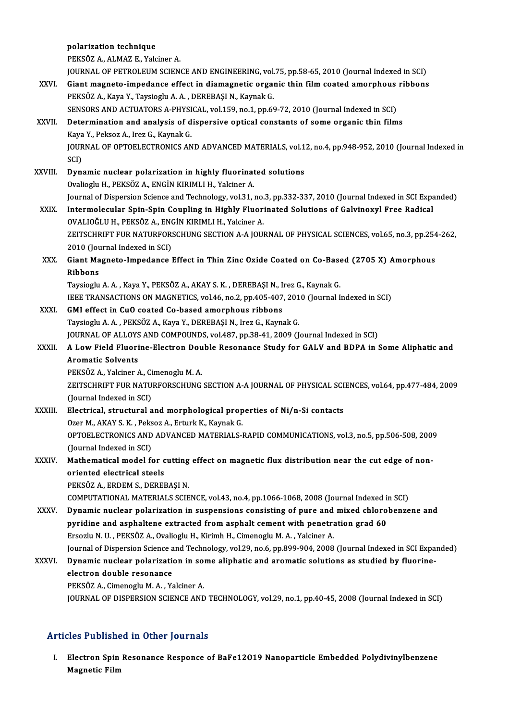|              | polarization technique                                                                                                   |
|--------------|--------------------------------------------------------------------------------------------------------------------------|
|              | PEKSÖZ A., ALMAZ E., Yalciner A.                                                                                         |
|              | JOURNAL OF PETROLEUM SCIENCE AND ENGINEERING, vol.75, pp.58-65, 2010 (Journal Indexed in SCI)                            |
| XXVI.        | Giant magneto-impedance effect in diamagnetic organic thin film coated amorphous ribbons                                 |
|              | PEKSÖZ A., Kaya Y., Taysioglu A. A., DEREBAŞI N., Kaynak G.                                                              |
|              | SENSORS AND ACTUATORS A-PHYSICAL, vol.159, no.1, pp.69-72, 2010 (Journal Indexed in SCI)                                 |
| XXVII.       | Determination and analysis of dispersive optical constants of some organic thin films                                    |
|              | Kaya Y, Peksoz A, Irez G, Kaynak G.                                                                                      |
|              | JOURNAL OF OPTOELECTRONICS AND ADVANCED MATERIALS, vol.12, no.4, pp.948-952, 2010 (Journal Indexed in                    |
|              | SCI)                                                                                                                     |
| XXVIII.      | Dynamic nuclear polarization in highly fluorinated solutions                                                             |
|              | Ovalioglu H., PEKSÖZ A., ENGİN KIRIMLI H., Yalciner A.                                                                   |
| XXIX.        | Journal of Dispersion Science and Technology, vol.31, no.3, pp.332-337, 2010 (Journal Indexed in SCI Expanded)           |
|              | Intermolecular Spin-Spin Coupling in Highly Fluorinated Solutions of Galvinoxyl Free Radical                             |
|              | OVALIOĞLU H., PEKSÖZ A., ENGİN KIRIMLI H., Yalciner A.                                                                   |
|              | ZEITSCHRIFT FUR NATURFORSCHUNG SECTION A-A JOURNAL OF PHYSICAL SCIENCES, vol.65, no.3, pp.254-262,                       |
| XXX.         | 2010 (Journal Indexed in SCI)<br>Giant Magneto-Impedance Effect in Thin Zinc Oxide Coated on Co-Based (2705 X) Amorphous |
|              | <b>Ribbons</b>                                                                                                           |
|              | Taysioglu A. A., Kaya Y., PEKSÖZ A., AKAY S. K., DEREBAŞI N., Irez G., Kaynak G.                                         |
|              | IEEE TRANSACTIONS ON MAGNETICS, vol.46, no.2, pp.405-407, 2010 (Journal Indexed in SCI)                                  |
| XXXI.        | GMI effect in CuO coated Co-based amorphous ribbons                                                                      |
|              | Taysioglu A. A., PEKSÖZ A., Kaya Y., DEREBAŞI N., Irez G., Kaynak G.                                                     |
|              | JOURNAL OF ALLOYS AND COMPOUNDS, vol.487, pp.38-41, 2009 (Journal Indexed in SCI)                                        |
| XXXII.       | A Low Field Fluorine-Electron Double Resonance Study for GALV and BDPA in Some Aliphatic and                             |
|              | <b>Aromatic Solvents</b>                                                                                                 |
|              | PEKSÖZ A., Yalciner A., Cimenoglu M. A.                                                                                  |
|              | ZEITSCHRIFT FUR NATURFORSCHUNG SECTION A-A JOURNAL OF PHYSICAL SCIENCES, vol.64, pp.477-484, 2009                        |
|              | (Journal Indexed in SCI)                                                                                                 |
| XXXIII.      | Electrical, structural and morphological properties of Ni/n-Si contacts                                                  |
|              | Ozer M., AKAY S. K., Peksoz A., Erturk K., Kaynak G.                                                                     |
|              | OPTOELECTRONICS AND ADVANCED MATERIALS-RAPID COMMUNICATIONS, vol.3, no.5, pp.506-508, 2009                               |
|              | (Journal Indexed in SCI)                                                                                                 |
| XXXIV.       | Mathematical model for cutting effect on magnetic flux distribution near the cut edge of non-                            |
|              | oriented electrical steels<br>PEKSÖZ A., ERDEM S., DEREBAŞI N.                                                           |
|              | COMPUTATIONAL MATERIALS SCIENCE, vol.43, no.4, pp.1066-1068, 2008 (Journal Indexed in SCI)                               |
| <b>XXXV</b>  | Dynamic nuclear polarization in suspensions consisting of pure and mixed chlorobenzene and                               |
|              | pyridine and asphaltene extracted from asphalt cement with penetration grad 60                                           |
|              | Ersozlu N. U., PEKSÖZ A., Ovalioglu H., Kirimh H., Cimenoglu M. A., Yalciner A.                                          |
|              | Journal of Dispersion Science and Technology, vol.29, no.6, pp.899-904, 2008 (Journal Indexed in SCI Expanded)           |
| <b>XXXVI</b> | Dynamic nuclear polarization in some aliphatic and aromatic solutions as studied by fluorine-                            |
|              | electron double resonance                                                                                                |
|              | PEKSÖZ A., Cimenoglu M. A., Yalciner A.                                                                                  |
|              | JOURNAL OF DISPERSION SCIENCE AND TECHNOLOGY, vol.29, no.1, pp.40-45, 2008 (Journal Indexed in SCI)                      |
|              |                                                                                                                          |

### Articles Published in Other Journals

rticles Published in Other Journals<br>I. Electron Spin Resonance Responce of BaFe12O19 Nanoparticle Embedded Polydivinylbenzene<br> Megnetic Eilm nes 1 abhone<br>Electron Spin<br>Magnetic Film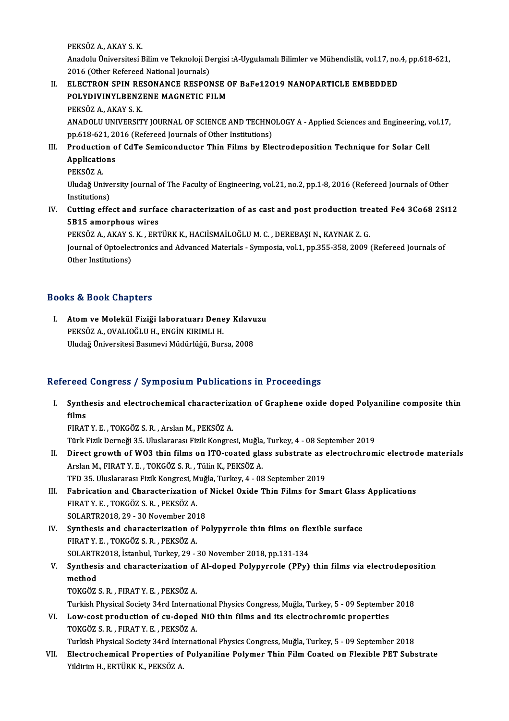PEKSÖZ A, AKAY S K.

PEKSÖZ A., AKAY S. K.<br>Anadolu Üniversitesi Bilim ve Teknoloji Dergisi :A-Uygulamalı Bilimler ve Mühendislik, vol.17, no.4, pp.618-621,<br>2016 (Othar Refereed National Jaurnala) PEKSÖZ A., AKAY S. K.<br>Anadolu Üniversitesi Bilim ve Teknoloji De<br>2016 (Other Refereed National Journals)<br>ELECTRON SPIN RESONANCE RESPON Anadolu Üniversitesi Bilim ve Teknoloji Dergisi :A-Uygulamalı Bilimler ve Mühendislik, vol.17, no.<br>2016 (Other Refereed National Journals)<br>II. ELECTRON SPIN RESONANCE RESPONSE OF BaFe12O19 NANOPARTICLE EMBEDDED<br>POLYDIVINYI

2016 (Other Refereed National Journals)<br>ELECTRON SPIN RESONANCE RESPONSE (<br>POLYDIVINYLBENZENE MAGNETIC FILM<br>PEKSÖZ A AKAVS K ELECTRON SPIN RE<br>POLYDIVINYLBENZ<br>PEKSÖZ A., AKAY S. K.<br>ANADOLU UNIVERSIT

POLYDIVINYLBENZENE MAGNETIC FILM<br>PEKSÖZ A., AKAY S. K.<br>ANADOLU UNIVERSITY JOURNAL OF SCIENCE AND TECHNOLOGY A - Applied Sciences and Engineering, vol.17,<br>np.618,621, 2016 (Poforoed Journals of Other Institutions) PEKSÖZ A., AKAY S. K.<br>ANADOLU UNIVERSITY JOURNAL OF SCIENCE AND TECHNC<br>pp.618-621, 2016 (Refereed Journals of Other Institutions)<br>Production of CdTe Somisonductor Thin Eilms by Ele ANADOLU UNIVERSITY JOURNAL OF SCIENCE AND TECHNOLOGY A - Applied Sciences and Engineering,<br>pp.618-621, 2016 (Refereed Journals of Other Institutions)<br>III. Production of CdTe Semiconductor Thin Films by Electrodeposition Te

- pp.618-621, 20<br>Production o<br>Applications<br>PEKSÖZ A <mark>Productio</mark><br>Applicatio<br>PEKSÖZ A.<br>Illudağ Uni
	-

Applications<br>PEKSÖZ A.<br>Uludağ University Journal of The Faculty of Engineering, vol.21, no.2, pp.1-8, 2016 (Refereed Journals of Other PEKSÖZ A.<br>Uludağ Unive<br>Institutions)<br>Cutting offe Uludağ University Journal of The Faculty of Engineering, vol.21, no.2, pp.1-8, 2016 (Refereed Journals of Other<br>Institutions)<br>IV. Cutting effect and surface characterization of as cast and post production treated Fe4 3Co68

Institutions)<br>Cutting effect and surfa<br>5B15 amorphous wires<br>PEKSÖZA AKAVS K. EPT Cutting effect and surface characterization of as cast and post production tre<br>5B15 amorphous wires<br>PEKSÖZ A., AKAY S. K. , ERTÜRK K., HACIİSMAİLOĞLU M. C. , DEREBAŞI N., KAYNAK Z. G.<br>Journal of Optoclastroniss and Advance

5B15 amorphous wires<br>PEKSÖZ A., AKAY S. K. , ERTÜRK K., HACIİSMAİLOĞLU M. C. , DEREBAŞI N., KAYNAK Z. G.<br>Journal of Optoelectronics and Advanced Materials - Symposia, vol.1, pp.355-358, 2009 (Refereed Journals of<br>Other Ins PEKSÖZ A., AKAY S. K., ERTÜRK K., HACIİSMAİLOĞLU M. C., DEREBAŞI N., KAYNAK Z. G.

### Books&Book Chapters

OOks & Book Chapters<br>I. Atom ve Molekül Fiziği laboratuarı Deney Kılavuzu<br>PEKSÖZ A. QVALIQČLU H. ENGİN KIRIMLLH rs & Book Ghapters<br>Atom ve Molekül Fiziği laboratuarı Dene<br>PEKSÖZ A., OVALIOĞLU H., ENGİN KIRIMLI H.<br>Illudağ Üniversitesi Besunevi Müdürlüğü Bur PEKSÖZ A., OVALIOĞLU H., ENGİN KIRIMLI H.<br>Uludağ Üniversitesi Basımevi Müdürlüğü, Bursa, 2008

### Refereed Congress / Symposium Publications in Proceedings

efereed Congress / Symposium Publications in Proceedings<br>I. Synthesis and electrochemical characterization of Graphene oxide doped Polyaniline composite thin<br>films r cea<br>Synth<br>EID ۸ films<br>FIRAT Y. E. , TOKGÖZ S. R. , Arslan M., PEKSÖZ A.

Türk Fizik Derneği 35. Uluslararası Fizik Kongresi, Muğla, Turkey, 4 - 08 September 2019

- FIRAT Y. E. , TOKGÖZ S. R. , Arslan M., PEKSÖZ A.<br>Türk Fizik Derneği 35. Uluslararası Fizik Kongresi, Muğla, Turkey, 4 08 September 2019<br>II. Direct growth of WO3 thin films on ITO-coated glass substrate as electrochr Türk Fizik Derneği 35. Uluslararası Fizik Kongresi, Muğla,<br>Direct growth of W03 thin films on ITO-coated gla<br>Arslan M., FIRAT Y. E. , TOKGÖZ S. R. , Tülin K., PEKSÖZ A.<br>TED 35. Uluslararası Fizik Kongresi, Muğla Turkey, 4. Direct growth of W03 thin films on ITO-coated glass substrate as explain M., FIRAT Y. E. , TOKGÖZ S. R. , Tülin K., PEKSÖZ A.<br>TFD 35. Uluslararası Fizik Kongresi, Muğla, Turkey, 4 - 08 September 2019<br>Fabrication and Charac Arslan M., FIRAT Y. E. , TOKGÖZ S. R. , Tülin K., PEKSÖZ A.<br>TFD 35. Uluslararası Fizik Kongresi, Muğla, Turkey, 4 - 08 September 2019<br>III. Fabrication and Characterization of Nickel Oxide Thin Films for Smart Glass App
- TFD 35. Uluslararası Fizik Kongresi, M<br>Fabrication and Characterization<br>FIRAT Y. E. , TOKGÖZ S. R. , PEKSÖZ A.<br>SOLAPTP2019, 29., 20 November 201 Fabrication and Characterization of<br>FIRAT Y. E., TOKGÖZ S. R., PEKSÖZ A.<br>SOLARTR2018, 29 - 30 November 2018<br>Synthesis and sharasterization of Be FIRAT Y. E., TOKGÖZ S. R., PEKSÖZ A.<br>SOLARTR2018, 29 - 30 November 2018<br>IV. Synthesis and characterization of Polypyrrole thin films on flexible surface<br>FIRAT V. F. TOKGÖZ S. B., BEKSÖZ A.
- SOLARTR2018, 29 30 November 201<br>Synthesis and characterization of<br>FIRAT Y. E., TOKGÖZ S. R., PEKSÖZ A. Synthesis and characterization of Polypyrrole thin films on fle<br>FIRAT Y. E., TOKGÖZ S. R., PEKSÖZ A.<br>SOLARTR2018, İstanbul, Turkey, 29 - 30 November 2018, pp.131-134<br>Synthesis and sharacterization of Al danad Bolynyunole (

### FIRAT Y. E., TOKGÖZ S. R., PEKSÖZ A.<br>SOLARTR2018, İstanbul, Turkey, 29 - 30 November 2018, pp.131-134<br>V. Synthesis and characterization of Al-doped Polypyrrole (PPy) thin films via electrodeposition<br>method SOLARTF<br>Synthesi<br>method<br>TOYCÖZ Synthesis and characterization of<br>method<br>TOKGÖZ S.R. , FIRAT Y.E. , PEKSÖZ A.<br>Turkich Physical Society 24rd Internet method<br>TOKGÖZ S. R. , FIRAT Y. E. , PEKSÖZ A.<br>Turkish Physical Society 34rd International Physics Congress, Muğla, Turkey, 5 - 09 September 2018<br>Law sest preduction of su doned NiQ thin films and its electroshromis preport

TOKGÖZ S. R. , FIRAT Y. E. , PEKSÖZ A.<br>Turkish Physical Society 34rd International Physics Congress, Muğla, Turkey, 5 - 09 Septembe<br>VI. Low-cost production of cu-doped NiO thin films and its electrochromic properties<br>TOKGÖ Turkish Physical Society 34rd Internat<br>Low-cost production of cu-doped<br>TOKGÖZ S.R. , FIRAT Y.E. , PEKSÖZ A. VI. Low-cost production of cu-doped NiO thin films and its electrochromic properties<br>TOKGÖZ S. R., FIRAT Y. E., PEKSÖZ A.<br>Turkish Physical Society 34rd International Physics Congress, Muğla, Turkey, 5 - 09 September 2018

TOKGÖZ S. R. , FIRAT Y. E. , PEKSÖZ A.<br>Turkish Physical Society 34rd International Physics Congress, Muğla, Turkey, 5 - 09 September 2018<br>VII. Electrochemical Properties of Polyaniline Polymer Thin Film Coated on Flexi Turkish Physical Society 34rd Inte<br><mark>Electrochemical Properties of</mark><br>Yildirim H., ERTÜRK K., PEKSÖZ A.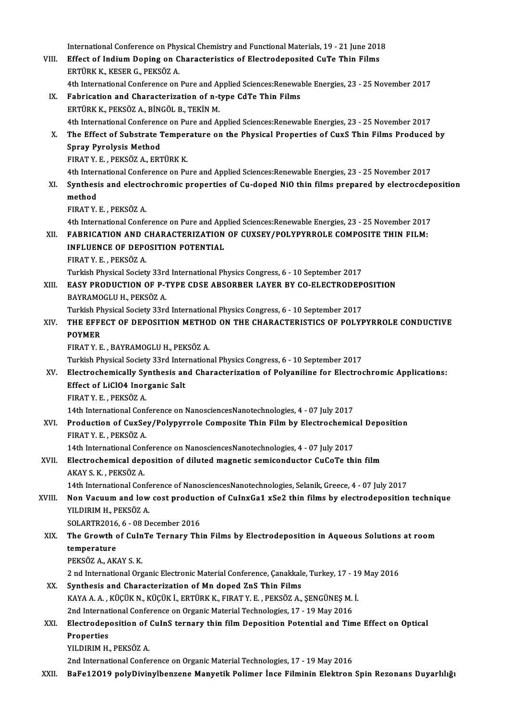International Conference on Physical Chemistry and Functional Materials, 19 - 21 June 2018<br>Effect of Indium Dening on Characteristics of Electrodenosited CuTe Thin Filme VIII. Effect of Indium Doping on Characteristics of Electrodeposited CuTe Thin Films<br>ERTÜRK K., KESER G., PEKSÖZ A. International Conference on Phy.<br>Effect of Indium Doping on C<br>ERTÜRK K., KESER G., PEKSÖZ A. 4th International Conference on Pure and Applied Sciences: Renewable Energies, 23 - 25 November 2017 IX. Fabrication and Characterization of n-type CdTe Thin Films ERTÜRKK.,PEKSÖZA.,BİNGÖLB.,TEKİNM. Fabrication and Characterization of n-type CdTe Thin Films<br>ERTÜRK K., PEKSÖZ A., BİNGÖL B., TEKİN M.<br>4th International Conference on Pure and Applied Sciences:Renewable Energies, 23 - 25 November 2017<br>The Effect of Substra ERTÜRK K., PEKSÖZ A., BİNGÖL B., TEKİN M.<br>4th International Conference on Pure and Applied Sciences:Renewable Energies, 23 - 25 November 2017<br>X. The Effect of Substrate Temperature on the Physical Properties of CuxS Thin F **4th International Conference**<br>The Effect of Substrate 1<br>Spray Pyrolysis Method<br>FIRAT V F. REVSÖZ A. FRI The Effect of Substrate Temper<br>Spray Pyrolysis Method<br>FIRAT Y. E. , PEKSÖZ A., ERTÜRK K.<br>4th International Conference on Bu Spray Pyrolysis Method<br>FIRAT Y. E. , PEKSÖZ A., ERTÜRK K.<br>4th International Conference on Pure and Applied Sciences:Renewable Energies, 23 - 25 November 2017<br>Synthosis and electrochromis proporties of Cu doned NiQ thin fil FIRAT Y. E. , PEKSÖZ A., ERTÜRK K.<br>4th International Conference on Pure and Applied Sciences:Renewable Energies, 23 - 25 November 2017<br>XI. Synthesis and electrochromic properties of Cu-doped NiO thin films prepared by elec 4th Interi<br>Synthesi<br>method<br>EIPAT V FIRATY.E. ,PEKSÖZA. 4th International Conference on Pure and Applied Sciences: Renewable Energies, 23 - 25 November 2017 FIRAT Y. E. , PEKSÖZ A.<br>4th International Conference on Pure and Applied Sciences:Renewable Energies, 23 - 25 November 2017<br>XII. FABRICATION AND CHARACTERIZATION OF CUXSEY/POLYPYRROLE COMPOSITE THIN FILM:<br>INELUENCE OF DEPO 4th International Conference on Pure and App<br>FABRICATION AND CHARACTERIZATION<br>INFLUENCE OF DEPOSITION POTENTIAL<br>FIRAT V E DEVSÖZA FABRICATION AND C<br>INFLUENCE OF DEPC<br>FIRAT Y. E. , PEKSÖZ A.<br>Turkich Physical Sociat INFLUENCE OF DEPOSITION POTENTIAL<br>FIRAT Y. E. , PEKSÖZ A.<br>Turkish Physical Society 33rd International Physics Congress, 6 - 10 September 2017<br>FASY PRODUCTION OF P TYPE CDSE ABSOPPER LAYER BY CO ELECTRODER FIRAT Y. E. , PEKSÖZ A.<br>Turkish Physical Society 33rd International Physics Congress, 6 - 10 September 2017<br>XIII. EASY PRODUCTION OF P-TYPE CDSE ABSORBER LAYER BY CO-ELECTRODEPOSITION Turkish Physical Society 33rd<br>EASY PRODUCTION OF P-1<br>BAYRAMOGLU H., PEKSÖZ A.<br>Turkish Physical Society 33rd EASY PRODUCTION OF P-TYPE CDSE ABSORBER LAYER BY CO-ELECTRODEP<br>BAYRAMOGLU H., PEKSÖZ A.<br>Turkish Physical Society 33rd International Physics Congress, 6 - 10 September 2017<br>THE EEEECT OF DEPOSITION METHOD ON THE CHARACTERIS BAYRAMOGLU H., PEKSÖZ A.<br>Turkish Physical Society 33rd International Physics Congress, 6 - 10 September 2017<br>XIV. THE EFFECT OF DEPOSITION METHOD ON THE CHARACTERISTICS OF POLYPYRROLE CONDUCTIVE<br>ROYMER Turkish P<mark>i</mark><br>THE EFFI<br>POYMER<br>EIPAT V E THE EFFECT OF DEPOSITION METHO<br>POYMER<br>FIRAT Y. E. , BAYRAMOGLU H., PEKSÖZ A.<br>Turkich Physical Society 22rd Internation POYMER<br>FIRAT Y. E. , BAYRAMOGLU H., PEKSÖZ A.<br>Turkish Physical Society 33rd International Physics Congress, 6 - 10 September 2017<br>Flastrochemiselly Synthesis and Characterization of Bolyeniline for Electroc FIRAT Y. E. , BAYRAMOGLU H., PEKSÖZ A.<br>Turkish Physical Society 33rd International Physics Congress, 6 - 10 September 2017<br>XV. Electrochemically Synthesis and Characterization of Polyaniline for Electrochromic Applications Turkish Physical Society 33rd Inter<br>Electrochemically Synthesis an<br>Effect of LiClO4 Inorganic Salt<br>EIBAT V E - BEKSÖZ A Electrochemically Sy<br>Effect of LiClO4 Inor<br>FIRAT Y.E., PEKSÖZ A.<br>14th International Cont Effect of LiClO4 Inorganic Salt<br>FIRAT Y. E. , PEKSÖZ A.<br>14th International Conference on NanosciencesNanotechnologies, 4 - 07 July 2017<br>Production of CurSov (Polynurrels Composite Thin Eilm by Electrosbomic FIRAT Y. E. , PEKSÖZ A.<br>14th International Conference on NanosciencesNanotechnologies, 4 - 07 July 2017<br>XVI. Production of CuxSey/Polypyrrole Composite Thin Film by Electrochemical Deposition<br>FIRAT Y. E. , PEKSÖZ A. 14th International Conf<br>Production of CuxSe<br>FIRAT Y. E., PEKSÖZ A.<br>14th International Conf Production of CuxSey/Polypyrrole Composite Thin Film by Electrochemic<br>FIRAT Y. E. , PEKSÖZ A.<br>14th International Conference on NanosciencesNanotechnologies, 4 - 07 July 2017<br>Electrochemical deposition of diluted magnetic s XVII. Electrochemical deposition of diluted magnetic semiconductor CuCoTe thin film<br>AKAY S. K., PEKSÖZ A. 14th International Con<br>Electrochemical dep<br>AKAY S. K. , PEKSÖZ A.<br>14th International Con Electrochemical deposition of diluted magnetic semiconductor CuCoTe thin film<br>AKAY S. K. , PEKSÖZ A.<br>14th International Conference of NanosciencesNanotechnologies, Selanik, Greece, 4 - 07 July 2017<br>Nan Vasuum and Jaw sest AKAY S. K. , PEKSÖZ A.<br>14th International Conference of NanosciencesNanotechnologies, Selanik, Greece, 4 - 07 July 2017<br>XVIII. Non Vacuum and low cost production of CuInxGa1 xSe2 thin films by electrodeposition technique<br>V 14th International Conference Non-Vacuum and low<br>YILDIRIM H., PEKSÖZ A.<br>SOLAPTP2016 6 08 D. Non Vacuum and low cost product<br>YILDIRIM H., PEKSÖZ A.<br>SOLARTR2016, 6 - 08 December 2016<br>The Crowth of CulaTe Ternery Thi YILDIRIM H., PEKSÖZ A.<br>SOLARTR2016, 6 - 08 December 2016<br>XIX. The Growth of CuInTe Ternary Thin Films by Electrodeposition in Aqueous Solutions at room<br>temperature SOLARTR2016<br>The Growth of<br>temperature The Growth of Cu<mark>ln</mark><br>temperature<br>PEKSÖZ A., AKAY S. K.<br>2 nd International Ora temperature<br>PEKSÖZ A., AKAY S. K.<br>2 nd International Organic Electronic Material Conference, Çanakkale, Turkey, 17 - 19 May 2016<br>Synthesis and Chanastarization of Mn danad ZnS Thin Eilms PEKSÖZ A., AKAY S. K.<br>2 nd International Organic Electronic Material Conference, Çanakkal<br>XX. Synthesis and Characterization of Mn doped ZnS Thin Films 2 nd International Organic Electronic Material Conference, Çanakkale, Turkey, 17 - 19<br>Synthesis and Characterization of Mn doped ZnS Thin Films<br>KAYA A. A. , KÜÇÜK N., KÜÇÜK İ., ERTÜRK K., FIRAT Y. E. , PEKSÖZ A., ŞENGÜNEŞ KAYA A. A., KÜÇÜK N., KÜÇÜK İ., ERTÜRK K., FIRAT Y. E., PEKSÖZ A., ŞENGÜNEŞ M. İ. KAYA A. A. , KÜÇÜK N., KÜÇÜK İ., ERTÜRK K., FIRAT Y. E. , PEKSÖZ A., ŞENGÜNEŞ M. İ.<br>2nd International Conference on Organic Material Technologies, 17 - 19 May 2016<br>XXI. Electrodeposition of CuInS ternary thin film Depo 2nd International Conference on Organic Material Technologies, 17 - 19 May 2016<br>Electrodeposition of CuInS ternary thin film Deposition Potential and Tin<br>Properties<br>YILDIRIM H., PEKSÖZ A. Electrodeposition of<br>Properties<br>YILDIRIM H., PEKSÖZ A.<br>2nd International Confo 2nd International Conference on Organic Material Technologies, 17 - 19 May 2016 XXII. BaFe12O19 polyDivinylbenzene Manyetik Polimer İnce Filminin Elektron Spin Rezonans Duyarlılığı